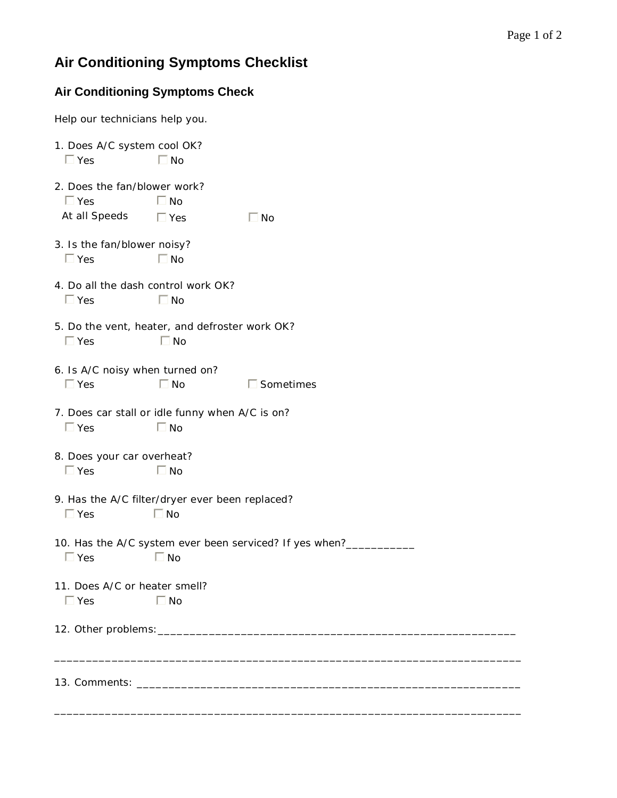## **Air Conditioning Symptoms Checklist**

## **Air Conditioning Symptoms Check**

Help our technicians help you.

| 1. Does A/C system cool OK?<br>$\Box$ Yes                                                  | $\Box$ No               |                     |
|--------------------------------------------------------------------------------------------|-------------------------|---------------------|
| 2. Does the fan/blower work?<br>$\Box$ Yes<br>At all Speeds                                | $\Box$ No<br>$\Box$ Yes | $\Box$ No           |
| 3. Is the fan/blower noisy?<br>$\Box$ Yes                                                  | $\Box$ No               |                     |
| 4. Do all the dash control work OK?<br>$\Box$ Yes                                          | $\Box$ No               |                     |
| 5. Do the vent, heater, and defroster work OK?<br>$\Box$ Yes<br>$\Box$ No                  |                         |                     |
| 6. Is A/C noisy when turned on?<br>$\Box$ Yes                                              | $\Box$ No               | $\square$ Sometimes |
| 7. Does car stall or idle funny when A/C is on?<br>$\Box$ No<br>$\Box$ Yes                 |                         |                     |
| 8. Does your car overheat?<br>$\Box$ No<br>$\Box$ Yes                                      |                         |                     |
| 9. Has the A/C filter/dryer ever been replaced?<br>$\Box$ Yes<br>$\Box$ No                 |                         |                     |
| 10. Has the A/C system ever been serviced? If yes when?________<br>$\Box$ Yes<br>$\Box$ No |                         |                     |
| 11. Does A/C or heater smell?<br>$\Box$ Yes<br>$\Box$ No                                   |                         |                     |
|                                                                                            |                         |                     |
|                                                                                            |                         |                     |

\_\_\_\_\_\_\_\_\_\_\_\_\_\_\_\_\_\_\_\_\_\_\_\_\_\_\_\_\_\_\_\_\_\_\_\_\_\_\_\_\_\_\_\_\_\_\_\_\_\_\_\_\_\_\_\_\_\_\_\_\_\_\_\_\_\_\_\_\_\_\_\_\_